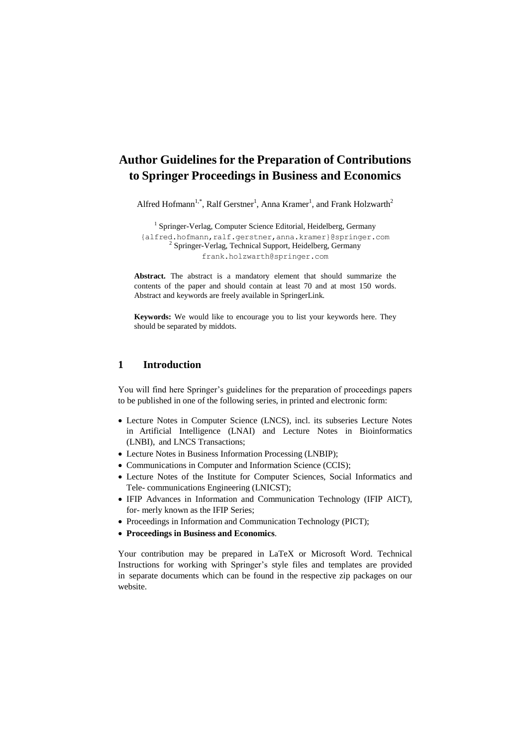# **Author Guidelines for the Preparation of Contributions to Springer Proceedings in Business and Economics**

Alfred Hofmann<sup>1,\*</sup>, Ralf Gerstner<sup>1</sup>, Anna Kramer<sup>1</sup>, and Frank Holzwarth<sup>2</sup>

<sup>1</sup> Springer-Verlag, Computer Science Editorial, Heidelberg, Germany {alfred.hofmann,ralf.gerstner,anna.kramer}@springer.com <sup>2</sup> Springer-Verlag, Technical Support, Heidelberg, Germany [frank.holzwarth@springer.com](mailto:frank.holzwarth@springer.com)

**Abstract.** The abstract is a mandatory element that should summarize the contents of the paper and should contain at least 70 and at most 150 words. Abstract and keywords are freely available in SpringerLink.

**Keywords:** We would like to encourage you to list your keywords here. They should be separated by middots.

# **1 Introduction**

You will find here Springer's guidelines for the preparation of proceedings papers to be published in one of the following series, in printed and electronic form:

- Lecture Notes in Computer Science (LNCS), incl. its subseries Lecture Notes in Artificial Intelligence (LNAI) and Lecture Notes in Bioinformatics (LNBI), and LNCS Transactions;
- Lecture Notes in Business Information Processing (LNBIP);
- Communications in Computer and Information Science (CCIS);
- Lecture Notes of the Institute for Computer Sciences, Social Informatics and Tele- communications Engineering (LNICST);
- IFIP Advances in Information and Communication Technology (IFIP AICT), for- merly known as the IFIP Series;
- Proceedings in Information and Communication Technology (PICT);
- **Proceedings in Business and Economics**.

Your contribution may be prepared in LaTeX or Microsoft Word. Technical Instructions for working with Springer's style files and templates are provided in separate documents which can be found in the respective zip packages on our website.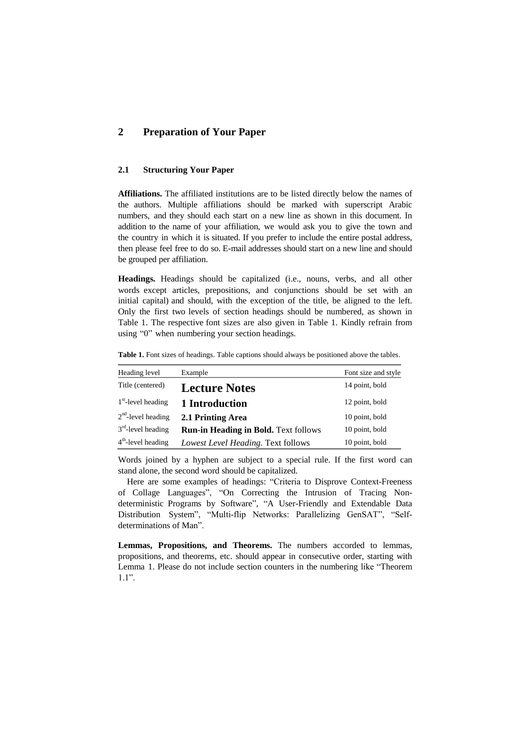# **2 Preparation of Your Paper**

# **2.1 Structuring Your Paper**

**Affiliations.** The affiliated institutions are to be listed directly below the names of the authors. Multiple affiliations should be marked with superscript Arabic numbers, and they should each start on a new line as shown in this document. In addition to the name of your affiliation, we would ask you to give the town and the country in which it is situated. If you prefer to include the entire postal address, then please feel free to do so. E-mail addresses should start on a new line and should be grouped per affiliation.

**Headings.** Headings should be capitalized (i.e., nouns, verbs, and all other words except articles, prepositions, and conjunctions should be set with an initial capital) and should, with the exception of the title, be aligned to the left. Only the first two levels of section headings should be numbered, as shown in Table 1. The respective font sizes are also given in Table 1. Kindly refrain from using "0" when numbering your section headings.

**Table 1.** Font sizes of headings. Table captions should always be positioned above the tables.

| Heading level        | Example                                     | Font size and style |
|----------------------|---------------------------------------------|---------------------|
| Title (centered)     | <b>Lecture Notes</b>                        | 14 point, bold      |
| $1st$ -level heading | 1 Introduction                              | 12 point, bold      |
| $2nd$ -level heading | 2.1 Printing Area                           | 10 point, bold      |
| $3rd$ -level heading | <b>Run-in Heading in Bold. Text follows</b> | 10 point, bold      |
| $4th$ -level heading | Lowest Level Heading. Text follows          | 10 point, bold      |

Words joined by a hyphen are subject to a special rule. If the first word can stand alone, the second word should be capitalized.

Here are some examples of headings: "Criteria to Disprove Context-Freeness of Collage Languages", "On Correcting the Intrusion of Tracing Nondeterministic Programs by Software", "A User-Friendly and Extendable Data Distribution System", "Multi-flip Networks: Parallelizing GenSAT", "Selfdeterminations of Man".

**Lemmas, Propositions, and Theorems.** The numbers accorded to lemmas, propositions, and theorems, etc. should appear in consecutive order, starting with Lemma 1. Please do not include section counters in the numbering like "Theorem 1.1".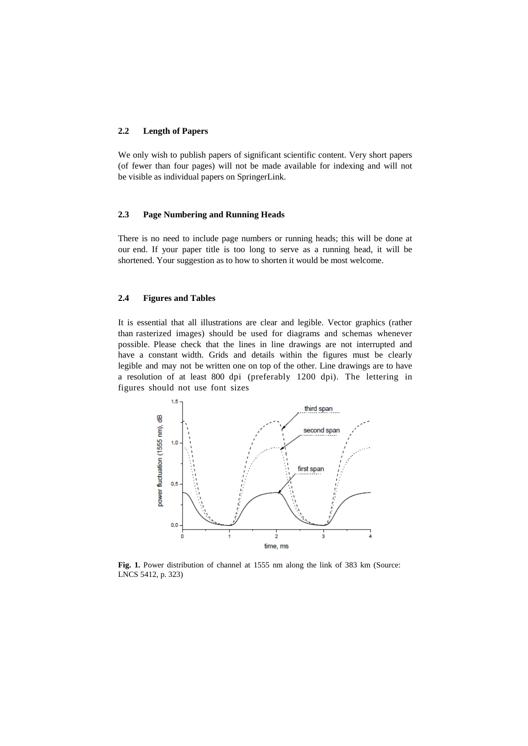### **2.2 Length of Papers**

We only wish to publish papers of significant scientific content. Very short papers (of fewer than four pages) will not be made available for indexing and will not be visible as individual papers on SpringerLink.

### **2.3 Page Numbering and Running Heads**

There is no need to include page numbers or running heads; this will be done at our end. If your paper title is too long to serve as a running head, it will be shortened. Your suggestion as to how to shorten it would be most welcome.

### **2.4 Figures and Tables**

It is essential that all illustrations are clear and legible. Vector graphics (rather than rasterized images) should be used for diagrams and schemas whenever possible. Please check that the lines in line drawings are not interrupted and have a constant width. Grids and details within the figures must be clearly legible and may not be written one on top of the other. Line drawings are to have a resolution of at least 800 dpi (preferably 1200 dpi). The lettering in figures should not use font sizes



**Fig. 1.** Power distribution of channel at 1555 nm along the link of 383 km (Source: LNCS 5412, p. 323)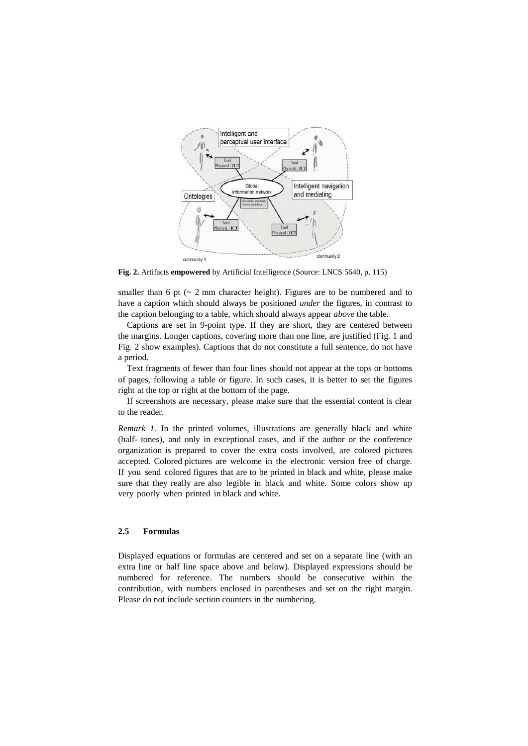

**Fig. 2.** Artifacts **empowered** by Artificial Intelligence (Source: LNCS 5640, p. 115)

smaller than 6 pt  $\left(\sim 2 \text{ mm}$  character height). Figures are to be numbered and to have a caption which should always be positioned *under* the figures, in contrast to the caption belonging to a table, which should always appear *above* the table.

Captions are set in 9-point type. If they are short, they are centered between the margins. Longer captions, covering more than one line, are justified (Fig. 1 and Fig. 2 show examples). Captions that do not constitute a full sentence, do not have a period.

Text fragments of fewer than four lines should not appear at the tops or bottoms of pages, following a table or figure. In such cases, it is better to set the figures right at the top or right at the bottom of the page.

If screenshots are necessary, please make sure that the essential content is clear to the reader.

*Remark 1.* In the printed volumes, illustrations are generally black and white (half- tones), and only in exceptional cases, and if the author or the conference organization is prepared to cover the extra costs involved, are colored pictures accepted. Colored pictures are welcome in the electronic version free of charge. If you send colored figures that are to be printed in black and white, please make sure that they really are also legible in black and white. Some colors show up very poorly when printed in black and white.

### **2.5 Formulas**

Displayed equations or formulas are centered and set on a separate line (with an extra line or half line space above and below). Displayed expressions should be numbered for reference. The numbers should be consecutive within the contribution, with numbers enclosed in parentheses and set on the right margin. Please do not include section counters in the numbering.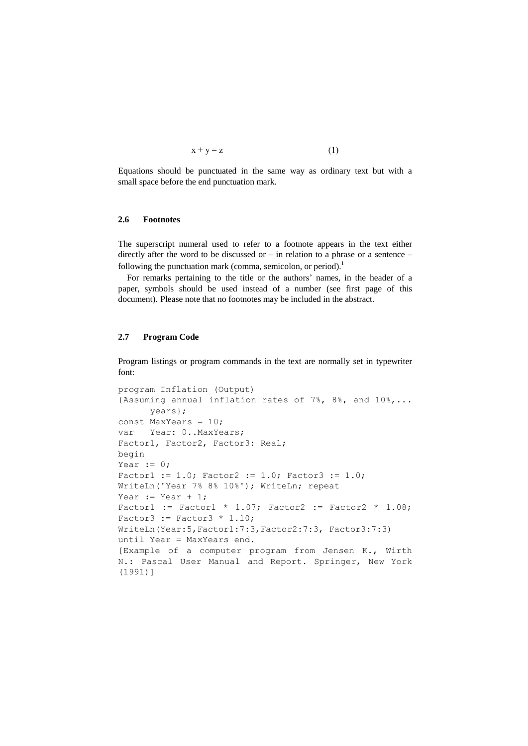$$
x + y = z \tag{1}
$$

Equations should be punctuated in the same way as ordinary text but with a small space before the end punctuation mark.

### **2.6 Footnotes**

The superscript numeral used to refer to a footnote appears in the text either directly after the word to be discussed or – in relation to a phrase or a sentence – following the punctuation mark (comma, semicolon, or period).<sup>1</sup>

For remarks pertaining to the title or the authors' names, in the header of a paper, symbols should be used instead of a number (see first page of this document). Please note that no footnotes may be included in the abstract.

### **2.7 Program Code**

Program listings or program commands in the text are normally set in typewriter font:

```
program Inflation (Output)
{Assuming annual inflation rates of 7%, 8%, and 10%,...
      years};
const MaxYears = 10;
var Year: 0..MaxYears;
Factor1, Factor2, Factor3: Real;
begin
Year := 0;Factor1 := 1.0; Factor2 := 1.0; Factor3 := 1.0;
WriteLn('Year 7% 8% 10%'); WriteLn; repeat
Year := Year +1;
Factor1 := Factor1 * 1.07; Factor2 := Factor2 * 1.08;
Factor3 := Factor3 * 1.10;
WriteLn(Year:5,Factor1:7:3,Factor2:7:3, Factor3:7:3)
until Year = MaxYears end.
[Example of a computer program from Jensen K., Wirth
N.: Pascal User Manual and Report. Springer, New York 
(1991)]
```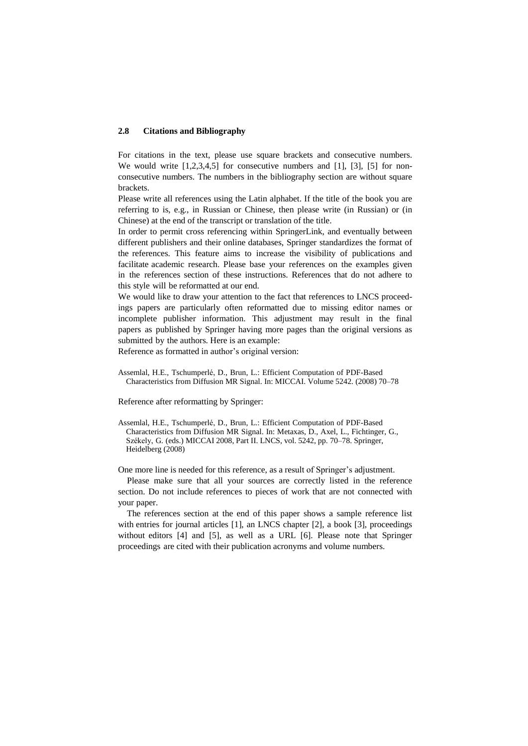#### **2.8 Citations and Bibliography**

For citations in the text, please use square brackets and consecutive numbers. We would write  $[1,2,3,4,5]$  for consecutive numbers and  $[1]$ ,  $[3]$ ,  $[5]$  for nonconsecutive numbers. The numbers in the bibliography section are without square brackets.

Please write all references using the Latin alphabet. If the title of the book you are referring to is, e.g., in Russian or Chinese, then please write (in Russian) or (in Chinese) at the end of the transcript or translation of the title.

In order to permit cross referencing within SpringerLink, and eventually between different publishers and their online databases, Springer standardizes the format of the references. This feature aims to increase the visibility of publications and facilitate academic research. Please base your references on the examples given in the references section of these instructions. References that do not adhere to this style will be reformatted at our end.

We would like to draw your attention to the fact that references to LNCS proceedings papers are particularly often reformatted due to missing editor names or incomplete publisher information. This adjustment may result in the final papers as published by Springer having more pages than the original versions as submitted by the authors. Here is an example:

Reference as formatted in author's original version:

Reference after reformatting by Springer:

Assemlal, H.E., Tschumperlé, D., Brun, L.: Efficient Computation of PDF-Based Characteristics from Diffusion MR Signal. In: Metaxas, D., Axel, L., Fichtinger, G., Székely, G. (eds.) MICCAI 2008, Part II. LNCS, vol. 5242, pp. 70–78. Springer, Heidelberg (2008)

One more line is needed for this reference, as a result of Springer's adjustment.

Please make sure that all your sources are correctly listed in the reference section. Do not include references to pieces of work that are not connected with your paper.

The references section at the end of this paper shows a sample reference list with entries for journal articles [1], an LNCS chapter [2], a book [3], proceedings without editors [4] and [5], as well as a URL [6]. Please note that Springer proceedings are cited with their publication acronyms and volume numbers.

Assemlal, H.E., Tschumperlé, D., Brun, L.: Efficient Computation of PDF-Based Characteristics from Diffusion MR Signal. In: MICCAI. Volume 5242. (2008) 70–78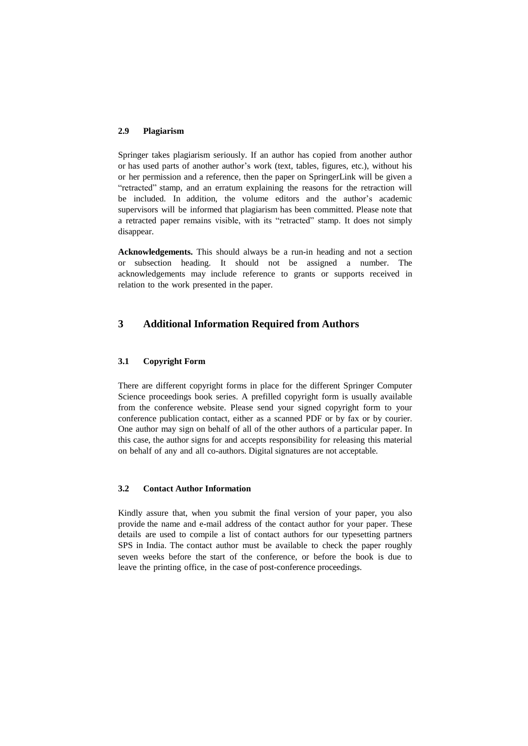#### **2.9 Plagiarism**

Springer takes plagiarism seriously. If an author has copied from another author or has used parts of another author's work (text, tables, figures, etc.), without his or her permission and a reference, then the paper on SpringerLink will be given a "retracted" stamp, and an erratum explaining the reasons for the retraction will be included. In addition, the volume editors and the author's academic supervisors will be informed that plagiarism has been committed. Please note that a retracted paper remains visible, with its "retracted" stamp. It does not simply disappear.

**Acknowledgements.** This should always be a run-in heading and not a section or subsection heading. It should not be assigned a number. The acknowledgements may include reference to grants or supports received in relation to the work presented in the paper.

# **3 Additional Information Required from Authors**

### **3.1 Copyright Form**

There are different copyright forms in place for the different Springer Computer Science proceedings book series. A prefilled copyright form is usually available from the conference website. Please send your signed copyright form to your conference publication contact, either as a scanned PDF or by fax or by courier. One author may sign on behalf of all of the other authors of a particular paper. In this case, the author signs for and accepts responsibility for releasing this material on behalf of any and all co-authors. Digital signatures are not acceptable.

### **3.2 Contact Author Information**

Kindly assure that, when you submit the final version of your paper, you also provide the name and e-mail address of the contact author for your paper. These details are used to compile a list of contact authors for our typesetting partners SPS in India. The contact author must be available to check the paper roughly seven weeks before the start of the conference, or before the book is due to leave the printing office, in the case of post-conference proceedings.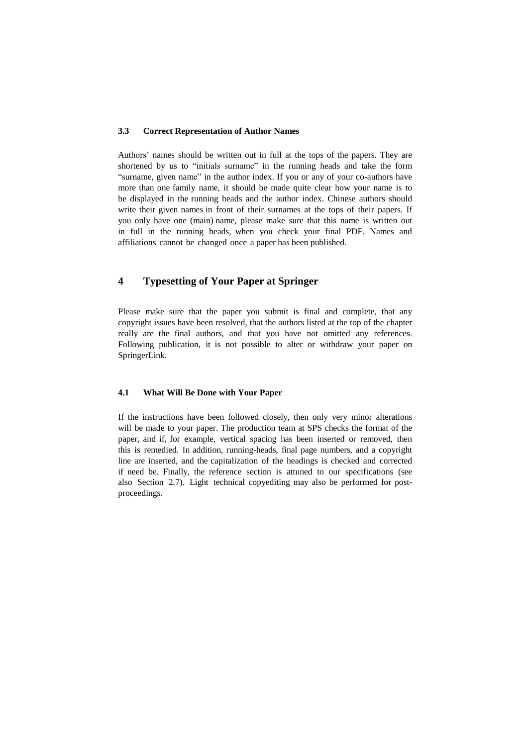#### **3.3 Correct Representation of Author Names**

Authors' names should be written out in full at the tops of the papers. They are shortened by us to "initials surname" in the running heads and take the form "surname, given name" in the author index. If you or any of your co-authors have more than one family name, it should be made quite clear how your name is to be displayed in the running heads and the author index. Chinese authors should write their given names in front of their surnames at the tops of their papers. If you only have one (main) name, please make sure that this name is written out in full in the running heads, when you check your final PDF. Names and affiliations cannot be changed once a paper has been published.

# **4 Typesetting of Your Paper at Springer**

Please make sure that the paper you submit is final and complete, that any copyright issues have been resolved, that the authors listed at the top of the chapter really are the final authors, and that you have not omitted any references. Following publication, it is not possible to alter or withdraw your paper on SpringerLink.

## **4.1 What Will Be Done with Your Paper**

If the instructions have been followed closely, then only very minor alterations will be made to your paper. The production team at SPS checks the format of the paper, and if, for example, vertical spacing has been inserted or removed, then this is remedied. In addition, running-heads, final page numbers, and a copyright line are inserted, and the capitalization of the headings is checked and corrected if need be. Finally, the reference section is attuned to our specifications (see also Section 2.7). Light technical copyediting may also be performed for postproceedings.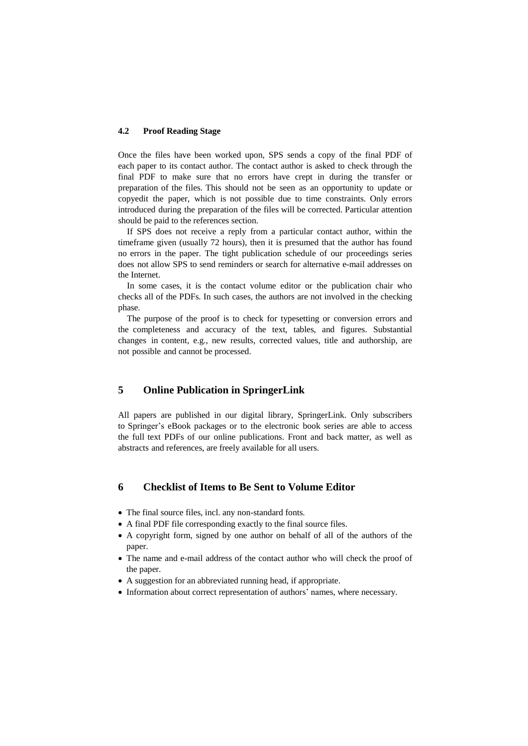### **4.2 Proof Reading Stage**

Once the files have been worked upon, SPS sends a copy of the final PDF of each paper to its contact author. The contact author is asked to check through the final PDF to make sure that no errors have crept in during the transfer or preparation of the files. This should not be seen as an opportunity to update or copyedit the paper, which is not possible due to time constraints. Only errors introduced during the preparation of the files will be corrected. Particular attention should be paid to the references section.

If SPS does not receive a reply from a particular contact author, within the timeframe given (usually 72 hours), then it is presumed that the author has found no errors in the paper. The tight publication schedule of our proceedings series does not allow SPS to send reminders or search for alternative e-mail addresses on the Internet.

In some cases, it is the contact volume editor or the publication chair who checks all of the PDFs. In such cases, the authors are not involved in the checking phase.

The purpose of the proof is to check for typesetting or conversion errors and the completeness and accuracy of the text, tables, and figures. Substantial changes in content, e.g., new results, corrected values, title and authorship, are not possible and cannot be processed.

# **5 Online Publication in SpringerLink**

All papers are published in our digital library, SpringerLink. Only subscribers to Springer's eBook packages or to the electronic book series are able to access the full text PDFs of our online publications. Front and back matter, as well as abstracts and references, are freely available for all users.

## **6 Checklist of Items to Be Sent to Volume Editor**

- The final source files, incl. any non-standard fonts.
- A final PDF file corresponding exactly to the final source files.
- A copyright form, signed by one author on behalf of all of the authors of the paper.
- The name and e-mail address of the contact author who will check the proof of the paper.
- A suggestion for an abbreviated running head, if appropriate.
- Information about correct representation of authors' names, where necessary.